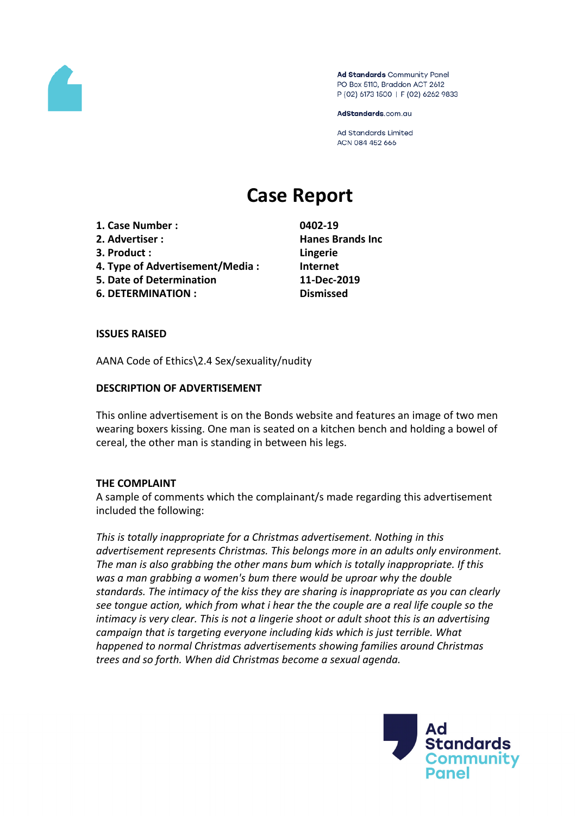

Ad Standards Community Panel PO Box 5110, Braddon ACT 2612 P (02) 6173 1500 | F (02) 6262 9833

AdStandards.com.au

**Ad Standards Limited** ACN 084 452 666

# **Case Report**

- **1. Case Number : 0402-19**
- **2. Advertiser : Hanes Brands Inc**
- **3. Product : Lingerie**
- **4. Type of Advertisement/Media : Internet**
- **5. Date of Determination 11-Dec-2019**
- **6. DETERMINATION : Dismissed**

### **ISSUES RAISED**

AANA Code of Ethics\2.4 Sex/sexuality/nudity

## **DESCRIPTION OF ADVERTISEMENT**

This online advertisement is on the Bonds website and features an image of two men wearing boxers kissing. One man is seated on a kitchen bench and holding a bowel of cereal, the other man is standing in between his legs.

# **THE COMPLAINT**

A sample of comments which the complainant/s made regarding this advertisement included the following:

*This is totally inappropriate for a Christmas advertisement. Nothing in this advertisement represents Christmas. This belongs more in an adults only environment. The man is also grabbing the other mans bum which is totally inappropriate. If this was a man grabbing a women's bum there would be uproar why the double standards. The intimacy of the kiss they are sharing is inappropriate as you can clearly see tongue action, which from what i hear the the couple are a real life couple so the intimacy is very clear. This is not a lingerie shoot or adult shoot this is an advertising campaign that is targeting everyone including kids which is just terrible. What happened to normal Christmas advertisements showing families around Christmas trees and so forth. When did Christmas become a sexual agenda.*

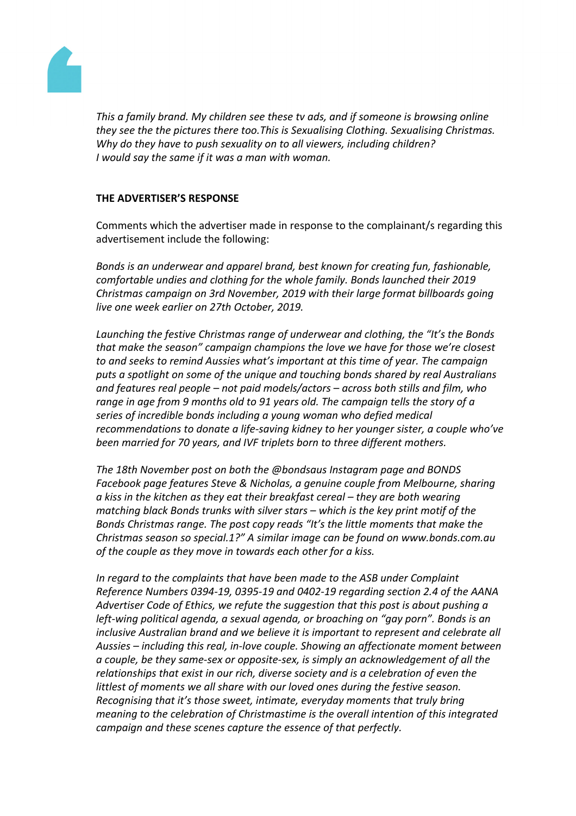

*This a family brand. My children see these tv ads, and if someone is browsing online they see the the pictures there too.This is Sexualising Clothing. Sexualising Christmas. Why do they have to push sexuality on to all viewers, including children? I would say the same if it was a man with woman.*

## **THE ADVERTISER'S RESPONSE**

Comments which the advertiser made in response to the complainant/s regarding this advertisement include the following:

*Bonds is an underwear and apparel brand, best known for creating fun, fashionable, comfortable undies and clothing for the whole family. Bonds launched their 2019 Christmas campaign on 3rd November, 2019 with their large format billboards going live one week earlier on 27th October, 2019.*

*Launching the festive Christmas range of underwear and clothing, the "It's the Bonds that make the season" campaign champions the love we have for those we're closest to and seeks to remind Aussies what's important at this time of year. The campaign puts a spotlight on some of the unique and touching bonds shared by real Australians and features real people – not paid models/actors – across both stills and film, who range in age from 9 months old to 91 years old. The campaign tells the story of a series of incredible bonds including a young woman who defied medical recommendations to donate a life-saving kidney to her younger sister, a couple who've been married for 70 years, and IVF triplets born to three different mothers.*

*The 18th November post on both the @bondsaus Instagram page and BONDS Facebook page features Steve & Nicholas, a genuine couple from Melbourne, sharing a kiss in the kitchen as they eat their breakfast cereal – they are both wearing matching black Bonds trunks with silver stars – which is the key print motif of the Bonds Christmas range. The post copy reads "It's the little moments that make the Christmas season so special.1?" A similar image can be found on www.bonds.com.au of the couple as they move in towards each other for a kiss.*

*In regard to the complaints that have been made to the ASB under Complaint Reference Numbers 0394-19, 0395-19 and 0402-19 regarding section 2.4 of the AANA Advertiser Code of Ethics, we refute the suggestion that this post is about pushing a left-wing political agenda, a sexual agenda, or broaching on "gay porn". Bonds is an inclusive Australian brand and we believe it is important to represent and celebrate all Aussies – including this real, in-love couple. Showing an affectionate moment between a couple, be they same-sex or opposite-sex, is simply an acknowledgement of all the relationships that exist in our rich, diverse society and is a celebration of even the littlest of moments we all share with our loved ones during the festive season. Recognising that it's those sweet, intimate, everyday moments that truly bring meaning to the celebration of Christmastime is the overall intention of this integrated campaign and these scenes capture the essence of that perfectly.*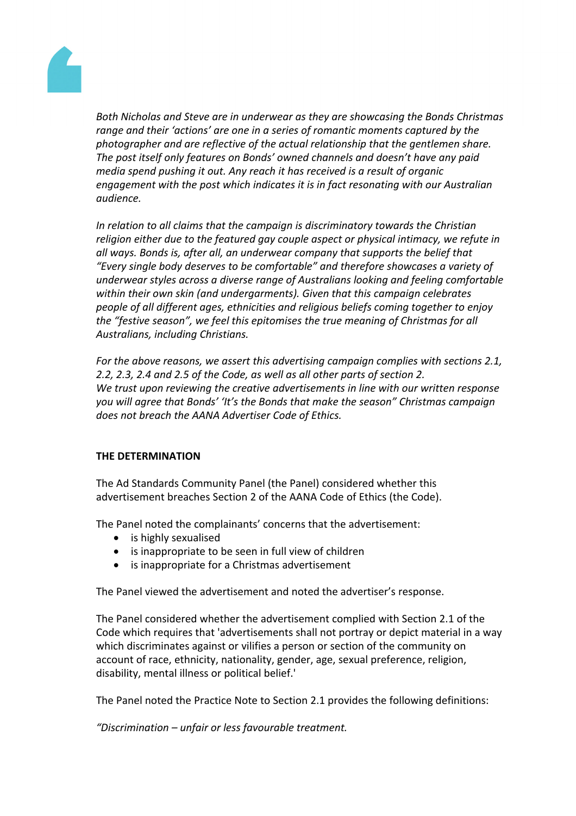

*Both Nicholas and Steve are in underwear as they are showcasing the Bonds Christmas range and their 'actions' are one in a series of romantic moments captured by the photographer and are reflective of the actual relationship that the gentlemen share. The post itself only features on Bonds' owned channels and doesn't have any paid media spend pushing it out. Any reach it has received is a result of organic engagement with the post which indicates it is in fact resonating with our Australian audience.* 

*In relation to all claims that the campaign is discriminatory towards the Christian religion either due to the featured gay couple aspect or physical intimacy, we refute in all ways. Bonds is, after all, an underwear company that supports the belief that "Every single body deserves to be comfortable" and therefore showcases a variety of underwear styles across a diverse range of Australians looking and feeling comfortable within their own skin (and undergarments). Given that this campaign celebrates people of all different ages, ethnicities and religious beliefs coming together to enjoy the "festive season", we feel this epitomises the true meaning of Christmas for all Australians, including Christians.*

*For the above reasons, we assert this advertising campaign complies with sections 2.1, 2.2, 2.3, 2.4 and 2.5 of the Code, as well as all other parts of section 2. We trust upon reviewing the creative advertisements in line with our written response you will agree that Bonds' 'It's the Bonds that make the season" Christmas campaign does not breach the AANA Advertiser Code of Ethics.*

### **THE DETERMINATION**

The Ad Standards Community Panel (the Panel) considered whether this advertisement breaches Section 2 of the AANA Code of Ethics (the Code).

The Panel noted the complainants' concerns that the advertisement:

- is highly sexualised
- is inappropriate to be seen in full view of children
- is inappropriate for a Christmas advertisement

The Panel viewed the advertisement and noted the advertiser's response.

The Panel considered whether the advertisement complied with Section 2.1 of the Code which requires that 'advertisements shall not portray or depict material in a way which discriminates against or vilifies a person or section of the community on account of race, ethnicity, nationality, gender, age, sexual preference, religion, disability, mental illness or political belief.'

The Panel noted the Practice Note to Section 2.1 provides the following definitions:

*"Discrimination – unfair or less favourable treatment.*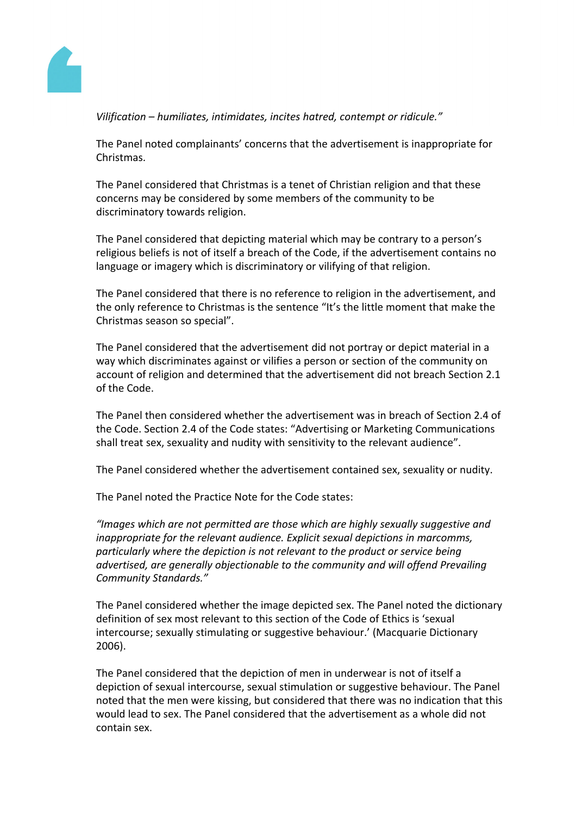

*Vilification – humiliates, intimidates, incites hatred, contempt or ridicule."* 

The Panel noted complainants' concerns that the advertisement is inappropriate for Christmas.

The Panel considered that Christmas is a tenet of Christian religion and that these concerns may be considered by some members of the community to be discriminatory towards religion.

The Panel considered that depicting material which may be contrary to a person's religious beliefs is not of itself a breach of the Code, if the advertisement contains no language or imagery which is discriminatory or vilifying of that religion.

The Panel considered that there is no reference to religion in the advertisement, and the only reference to Christmas is the sentence "It's the little moment that make the Christmas season so special".

The Panel considered that the advertisement did not portray or depict material in a way which discriminates against or vilifies a person or section of the community on account of religion and determined that the advertisement did not breach Section 2.1 of the Code.

The Panel then considered whether the advertisement was in breach of Section 2.4 of the Code. Section 2.4 of the Code states: "Advertising or Marketing Communications shall treat sex, sexuality and nudity with sensitivity to the relevant audience".

The Panel considered whether the advertisement contained sex, sexuality or nudity.

The Panel noted the Practice Note for the Code states:

*"Images which are not permitted are those which are highly sexually suggestive and inappropriate for the relevant audience. Explicit sexual depictions in marcomms, particularly where the depiction is not relevant to the product or service being advertised, are generally objectionable to the community and will offend Prevailing Community Standards."*

The Panel considered whether the image depicted sex. The Panel noted the dictionary definition of sex most relevant to this section of the Code of Ethics is 'sexual intercourse; sexually stimulating or suggestive behaviour.' (Macquarie Dictionary 2006).

The Panel considered that the depiction of men in underwear is not of itself a depiction of sexual intercourse, sexual stimulation or suggestive behaviour. The Panel noted that the men were kissing, but considered that there was no indication that this would lead to sex. The Panel considered that the advertisement as a whole did not contain sex.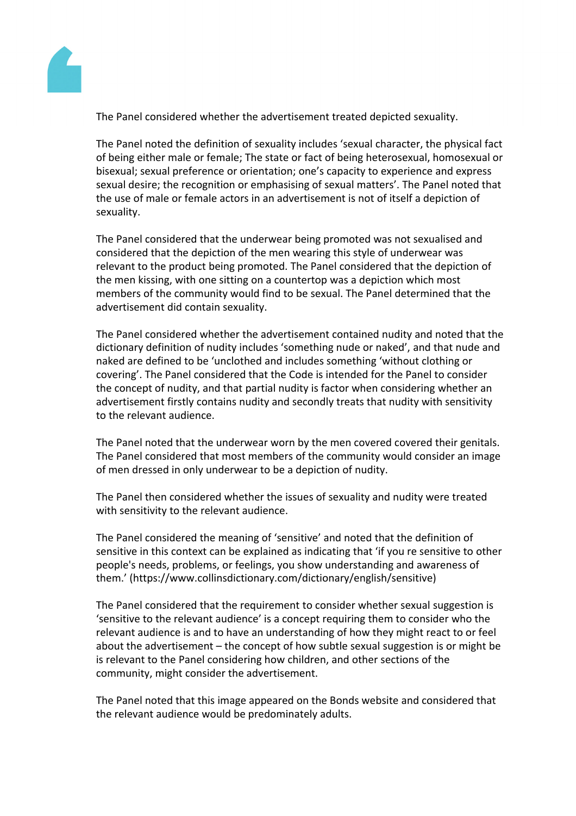

The Panel considered whether the advertisement treated depicted sexuality.

The Panel noted the definition of sexuality includes 'sexual character, the physical fact of being either male or female; The state or fact of being heterosexual, homosexual or bisexual; sexual preference or orientation; one's capacity to experience and express sexual desire; the recognition or emphasising of sexual matters'. The Panel noted that the use of male or female actors in an advertisement is not of itself a depiction of sexuality.

The Panel considered that the underwear being promoted was not sexualised and considered that the depiction of the men wearing this style of underwear was relevant to the product being promoted. The Panel considered that the depiction of the men kissing, with one sitting on a countertop was a depiction which most members of the community would find to be sexual. The Panel determined that the advertisement did contain sexuality.

The Panel considered whether the advertisement contained nudity and noted that the dictionary definition of nudity includes 'something nude or naked', and that nude and naked are defined to be 'unclothed and includes something 'without clothing or covering'. The Panel considered that the Code is intended for the Panel to consider the concept of nudity, and that partial nudity is factor when considering whether an advertisement firstly contains nudity and secondly treats that nudity with sensitivity to the relevant audience.

The Panel noted that the underwear worn by the men covered covered their genitals. The Panel considered that most members of the community would consider an image of men dressed in only underwear to be a depiction of nudity.

The Panel then considered whether the issues of sexuality and nudity were treated with sensitivity to the relevant audience.

The Panel considered the meaning of 'sensitive' and noted that the definition of sensitive in this context can be explained as indicating that 'if you re sensitive to other people's needs, problems, or feelings, you show understanding and awareness of them.' (https://www.collinsdictionary.com/dictionary/english/sensitive)

The Panel considered that the requirement to consider whether sexual suggestion is 'sensitive to the relevant audience' is a concept requiring them to consider who the relevant audience is and to have an understanding of how they might react to or feel about the advertisement – the concept of how subtle sexual suggestion is or might be is relevant to the Panel considering how children, and other sections of the community, might consider the advertisement.

The Panel noted that this image appeared on the Bonds website and considered that the relevant audience would be predominately adults.